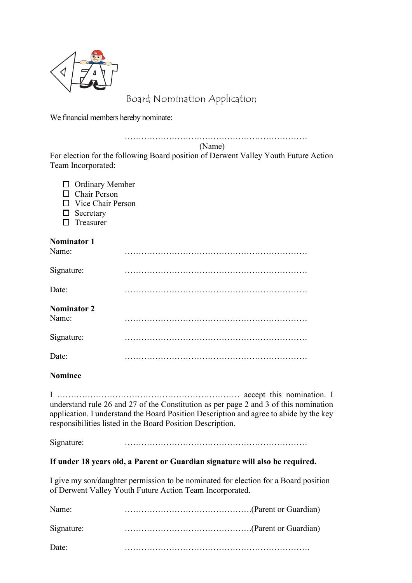

## Board Nomination Application

We financial members hereby nominate:

…………………………………………………………

(Name)

For election for the following Board position of Derwent Valley Youth Future Action Team Incorporated:

- $\Box$  Ordinary Member  $\Box$  Chair Person
- $\Box$  Vice Chair Person
- $\square$  Secretary
- $\square$  Treasurer

#### **Nominator 1**

| Name:                       |  |
|-----------------------------|--|
| Signature:                  |  |
| Date:                       |  |
| <b>Nominator 2</b><br>Name: |  |
| Signature:                  |  |
| Date:                       |  |

#### **Nominee**

I ………………………………………………………… accept this nomination. I understand rule 26 and 27 of the Constitution as per page 2 and 3 of this nomination application. I understand the Board Position Description and agree to abide by the key responsibilities listed in the Board Position Description.

Signature: …………………………………………………………

#### **If under 18 years old, a Parent or Guardian signature will also be required.**

I give my son/daughter permission to be nominated for election for a Board position of Derwent Valley Youth Future Action Team Incorporated.

| Name:      |  |
|------------|--|
| Signature: |  |
| Date:      |  |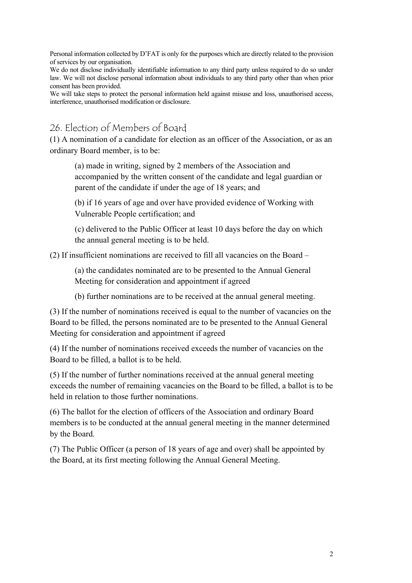Personal information collected by D'FAT is only for the purposes which are directly related to the provision of services by our organisation.

We do not disclose individually identifiable information to any third party unless required to do so under law. We will not disclose personal information about individuals to any third party other than when prior consent has been provided.

We will take steps to protect the personal information held against misuse and loss, unauthorised access, interference, unauthorised modification or disclosure.

26. Election of Members of Board

(1) A nomination of a candidate for election as an officer of the Association, or as an ordinary Board member, is to be:

(a) made in writing, signed by 2 members of the Association and accompanied by the written consent of the candidate and legal guardian or parent of the candidate if under the age of 18 years; and

(b) if 16 years of age and over have provided evidence of Working with Vulnerable People certification; and

(c) delivered to the Public Officer at least 10 days before the day on which the annual general meeting is to be held.

(2) If insufficient nominations are received to fill all vacancies on the Board –

(a) the candidates nominated are to be presented to the Annual General Meeting for consideration and appointment if agreed

(b) further nominations are to be received at the annual general meeting.

(3) If the number of nominations received is equal to the number of vacancies on the Board to be filled, the persons nominated are to be presented to the Annual General Meeting for consideration and appointment if agreed

(4) If the number of nominations received exceeds the number of vacancies on the Board to be filled, a ballot is to be held.

(5) If the number of further nominations received at the annual general meeting exceeds the number of remaining vacancies on the Board to be filled, a ballot is to be held in relation to those further nominations.

(6) The ballot for the election of officers of the Association and ordinary Board members is to be conducted at the annual general meeting in the manner determined by the Board.

(7) The Public Officer (a person of 18 years of age and over) shall be appointed by the Board, at its first meeting following the Annual General Meeting.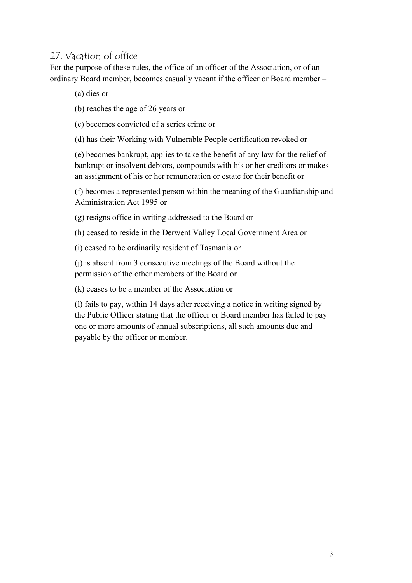# 27. Vacation of office

For the purpose of these rules, the office of an officer of the Association, or of an ordinary Board member, becomes casually vacant if the officer or Board member –

(a) dies or

(b) reaches the age of 26 years or

(c) becomes convicted of a series crime or

(d) has their Working with Vulnerable People certification revoked or

(e) becomes bankrupt, applies to take the benefit of any law for the relief of bankrupt or insolvent debtors, compounds with his or her creditors or makes an assignment of his or her remuneration or estate for their benefit or

(f) becomes a represented person within the meaning of the Guardianship and Administration Act 1995 or

(g) resigns office in writing addressed to the Board or

(h) ceased to reside in the Derwent Valley Local Government Area or

(i) ceased to be ordinarily resident of Tasmania or

(j) is absent from 3 consecutive meetings of the Board without the permission of the other members of the Board or

(k) ceases to be a member of the Association or

(l) fails to pay, within 14 days after receiving a notice in writing signed by the Public Officer stating that the officer or Board member has failed to pay one or more amounts of annual subscriptions, all such amounts due and payable by the officer or member.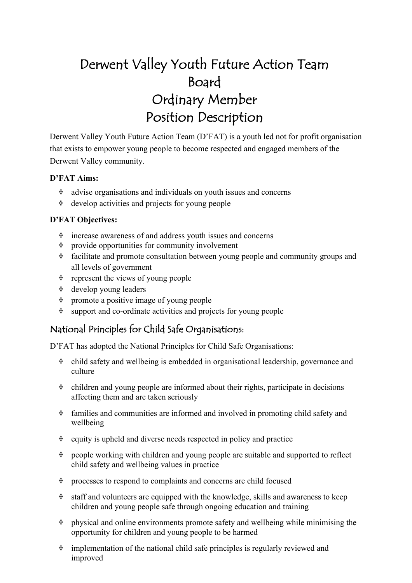# Derwent Valley Youth Future Action Team Board Ordinary Member Position Description

Derwent Valley Youth Future Action Team (D'FAT) is a youth led not for profit organisation that exists to empower young people to become respected and engaged members of the Derwent Valley community.

#### **D'FAT Aims:**

- $\dot{\mathbf{v}}$  advise organisations and individuals on youth issues and concerns
- $\dot{\mathbf{v}}$  develop activities and projects for young people

#### **D'FAT Objectives:**

- $\dot{\mathbf{v}}$  increase awareness of and address youth issues and concerns
- $\dot{\mathbf{v}}$  provide opportunities for community involvement
- $\dot{\mathbf{v}}$  facilitate and promote consultation between young people and community groups and all levels of government
- $\dot{\mathbf{v}}$  represent the views of young people
- <sup>v</sup> develop young leaders
- $\dot{\mathbf{v}}$  promote a positive image of young people
- $\dot{\mathbf{v}}$  support and co-ordinate activities and projects for young people

## National Principles for Child Safe Organisations:

- $\dot{\mathbf{v}}$  child safety and wellbeing is embedded in organisational leadership, governance and culture
- $\bullet$  children and young people are informed about their rights, participate in decisions affecting them and are taken seriously
- $\lozenge$  families and communities are informed and involved in promoting child safety and wellbeing
- $\dot{\mathbf{v}}$  equity is upheld and diverse needs respected in policy and practice
- people working with children and young people are suitable and supported to reflect child safety and wellbeing values in practice
- $\Diamond$  processes to respond to complaints and concerns are child focused
- $\dot{\mathbf{v}}$  staff and volunteers are equipped with the knowledge, skills and awareness to keep children and young people safe through ongoing education and training
- $\dot{\mathbf{v}}$  physical and online environments promote safety and wellbeing while minimising the opportunity for children and young people to be harmed
- $\dot{\mathbf{v}}$  implementation of the national child safe principles is regularly reviewed and improved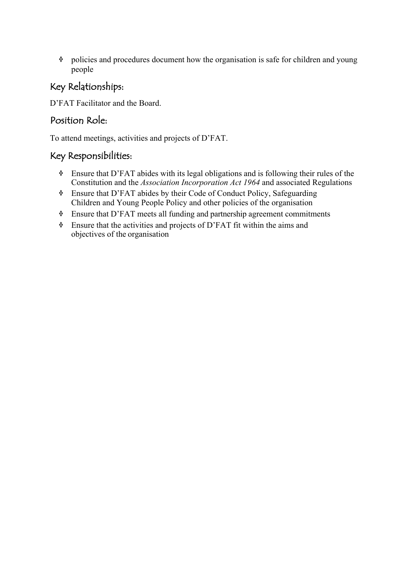# Key Relationships:

D'FAT Facilitator and the Board.

## Position Role:

To attend meetings, activities and projects of D'FAT.

- $\bullet$  Ensure that D'FAT abides with its legal obligations and is following their rules of the Constitution and the *Association Incorporation Act 1964* and associated Regulations
- <sup>v</sup> Ensure that D'FAT abides by their Code of Conduct Policy, Safeguarding Children and Young People Policy and other policies of the organisation
- <sup>v</sup> Ensure that D'FAT meets all funding and partnership agreement commitments
- $\bullet$  Ensure that the activities and projects of D'FAT fit within the aims and objectives of the organisation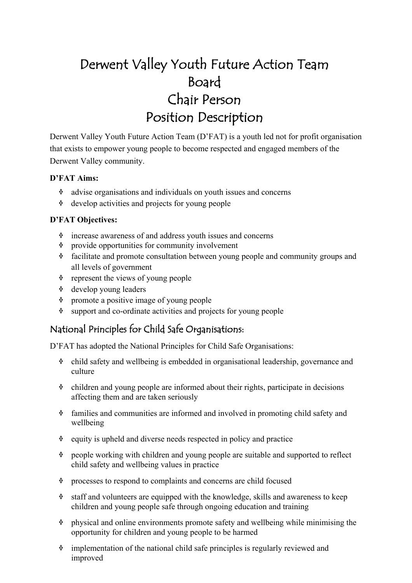# Derwent Valley Youth Future Action Team Board Chair Person Position Description

Derwent Valley Youth Future Action Team (D'FAT) is a youth led not for profit organisation that exists to empower young people to become respected and engaged members of the Derwent Valley community.

#### **D'FAT Aims:**

- $\dot{\mathbf{v}}$  advise organisations and individuals on youth issues and concerns
- $\dot{\mathbf{v}}$  develop activities and projects for young people

#### **D'FAT Objectives:**

- $\dot{\mathbf{v}}$  increase awareness of and address youth issues and concerns
- $\dot{\mathbf{v}}$  provide opportunities for community involvement
- $\dot{\mathbf{v}}$  facilitate and promote consultation between young people and community groups and all levels of government
- $\dot{\mathbf{v}}$  represent the views of young people
- <sup>v</sup> develop young leaders
- $\dot{\mathbf{v}}$  promote a positive image of young people
- $\dot{\mathbf{v}}$  support and co-ordinate activities and projects for young people

## National Principles for Child Safe Organisations:

- $\dot{\mathbf{v}}$  child safety and wellbeing is embedded in organisational leadership, governance and culture
- $\bullet$  children and young people are informed about their rights, participate in decisions affecting them and are taken seriously
- $\lozenge$  families and communities are informed and involved in promoting child safety and wellbeing
- $\dot{\mathbf{v}}$  equity is upheld and diverse needs respected in policy and practice
- people working with children and young people are suitable and supported to reflect child safety and wellbeing values in practice
- $\Diamond$  processes to respond to complaints and concerns are child focused
- $\dot{\mathbf{v}}$  staff and volunteers are equipped with the knowledge, skills and awareness to keep children and young people safe through ongoing education and training
- $\dot{\mathbf{v}}$  physical and online environments promote safety and wellbeing while minimising the opportunity for children and young people to be harmed
- $\dot{\mathbf{v}}$  implementation of the national child safe principles is regularly reviewed and improved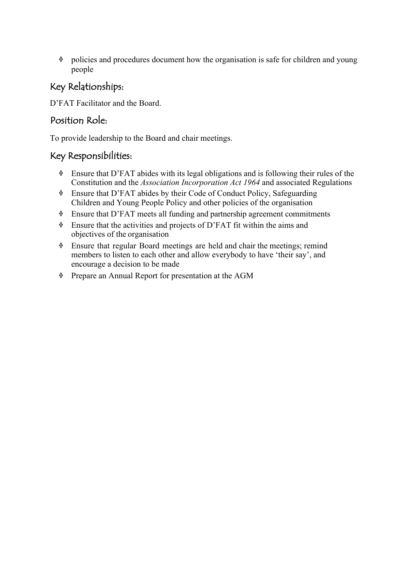## Key Relationships:

D'FAT Facilitator and the Board.

## Position Role:

To provide leadership to the Board and chair meetings.

- $\bullet$  Ensure that D'FAT abides with its legal obligations and is following their rules of the Constitution and the *Association Incorporation Act 1964* and associated Regulations
- <sup>v</sup> Ensure that D'FAT abides by their Code of Conduct Policy, Safeguarding Children and Young People Policy and other policies of the organisation
- $\bullet$  Ensure that D'FAT meets all funding and partnership agreement commitments
- $\bullet$  Ensure that the activities and projects of D'FAT fit within the aims and objectives of the organisation
- <sup>v</sup> Ensure that regular Board meetings are held and chair the meetings; remind members to listen to each other and allow everybody to have 'their say', and encourage a decision to be made
- <sup>v</sup> Prepare an Annual Report for presentation at the AGM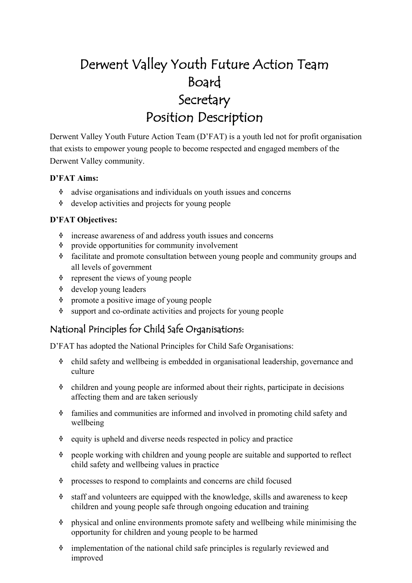# Derwent Valley Youth Future Action Team Board Secretary Position Description

Derwent Valley Youth Future Action Team (D'FAT) is a youth led not for profit organisation that exists to empower young people to become respected and engaged members of the Derwent Valley community.

#### **D'FAT Aims:**

- $\dot{\mathbf{v}}$  advise organisations and individuals on youth issues and concerns
- $\dot{\mathbf{v}}$  develop activities and projects for young people

#### **D'FAT Objectives:**

- $\dot{\mathbf{v}}$  increase awareness of and address youth issues and concerns
- $\dot{\mathbf{v}}$  provide opportunities for community involvement
- $\dot{\mathbf{v}}$  facilitate and promote consultation between young people and community groups and all levels of government
- $\dot{\mathbf{v}}$  represent the views of young people
- <sup>v</sup> develop young leaders
- $\dot{\mathbf{v}}$  promote a positive image of young people
- $\dot{\mathbf{v}}$  support and co-ordinate activities and projects for young people

## National Principles for Child Safe Organisations:

- $\dot{\mathbf{v}}$  child safety and wellbeing is embedded in organisational leadership, governance and culture
- $\bullet$  children and young people are informed about their rights, participate in decisions affecting them and are taken seriously
- $\lozenge$  families and communities are informed and involved in promoting child safety and wellbeing
- $\dot{\mathbf{v}}$  equity is upheld and diverse needs respected in policy and practice
- people working with children and young people are suitable and supported to reflect child safety and wellbeing values in practice
- $\Diamond$  processes to respond to complaints and concerns are child focused
- $\dot{\mathbf{v}}$  staff and volunteers are equipped with the knowledge, skills and awareness to keep children and young people safe through ongoing education and training
- $\dot{\mathbf{v}}$  physical and online environments promote safety and wellbeing while minimising the opportunity for children and young people to be harmed
- $\dot{\mathbf{v}}$  implementation of the national child safe principles is regularly reviewed and improved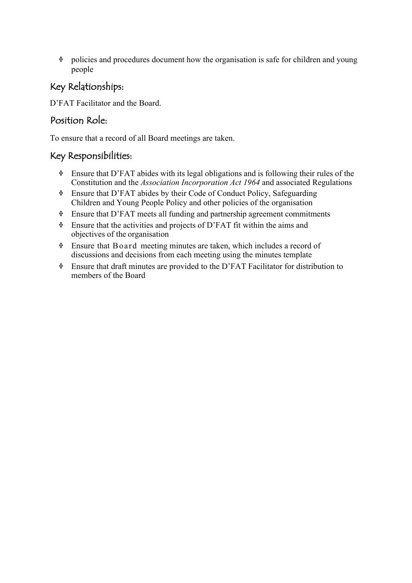# Key Relationships:

D'FAT Facilitator and the Board.

## Position Role:

To ensure that a record of all Board meetings are taken.

- $\bullet$  Ensure that D'FAT abides with its legal obligations and is following their rules of the Constitution and the *Association Incorporation Act 1964* and associated Regulations
- <sup>v</sup> Ensure that D'FAT abides by their Code of Conduct Policy, Safeguarding Children and Young People Policy and other policies of the organisation
- $\bullet$  Ensure that D'FAT meets all funding and partnership agreement commitments
- $\bullet$  Ensure that the activities and projects of D'FAT fit within the aims and objectives of the organisation
- $\bullet$  Ensure that Board meeting minutes are taken, which includes a record of discussions and decisions from each meeting using the minutes template
- <sup>v</sup> Ensure that draft minutes are provided to the D'FAT Facilitator for distribution to members of the Board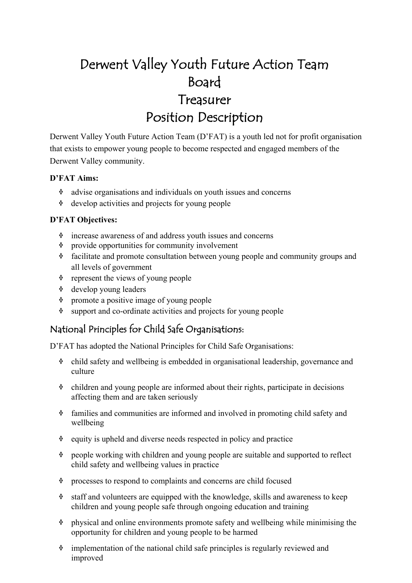# Derwent Valley Youth Future Action Team Board Treasurer Position Description

Derwent Valley Youth Future Action Team (D'FAT) is a youth led not for profit organisation that exists to empower young people to become respected and engaged members of the Derwent Valley community.

#### **D'FAT Aims:**

- $\dot{\mathbf{v}}$  advise organisations and individuals on youth issues and concerns
- $\dot{\mathbf{v}}$  develop activities and projects for young people

#### **D'FAT Objectives:**

- $\dot{\mathbf{v}}$  increase awareness of and address youth issues and concerns
- $\dot{\mathbf{v}}$  provide opportunities for community involvement
- $\dot{\mathbf{v}}$  facilitate and promote consultation between young people and community groups and all levels of government
- $\dot{\mathbf{v}}$  represent the views of young people
- <sup>v</sup> develop young leaders
- $\dot{\mathbf{v}}$  promote a positive image of young people
- $\dot{\mathbf{v}}$  support and co-ordinate activities and projects for young people

## National Principles for Child Safe Organisations:

- $\dot{\mathbf{v}}$  child safety and wellbeing is embedded in organisational leadership, governance and culture
- $\bullet$  children and young people are informed about their rights, participate in decisions affecting them and are taken seriously
- $\lozenge$  families and communities are informed and involved in promoting child safety and wellbeing
- $\dot{\mathbf{v}}$  equity is upheld and diverse needs respected in policy and practice
- people working with children and young people are suitable and supported to reflect child safety and wellbeing values in practice
- $\Diamond$  processes to respond to complaints and concerns are child focused
- $\dot{\mathbf{v}}$  staff and volunteers are equipped with the knowledge, skills and awareness to keep children and young people safe through ongoing education and training
- $\dot{\mathbf{v}}$  physical and online environments promote safety and wellbeing while minimising the opportunity for children and young people to be harmed
- $\dot{\mathbf{v}}$  implementation of the national child safe principles is regularly reviewed and improved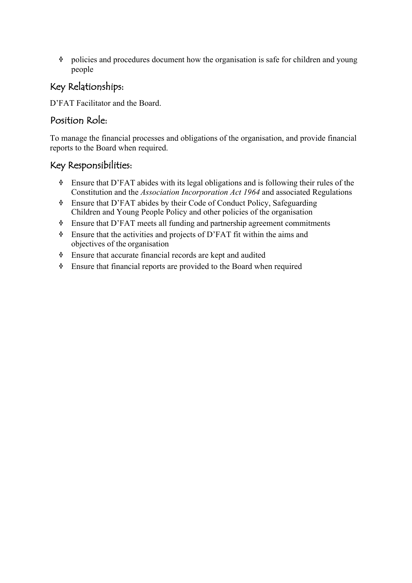# Key Relationships:

D'FAT Facilitator and the Board.

## Position Role:

To manage the financial processes and obligations of the organisation, and provide financial reports to the Board when required.

- $\bullet$  Ensure that D'FAT abides with its legal obligations and is following their rules of the Constitution and the *Association Incorporation Act 1964* and associated Regulations
- <sup>v</sup> Ensure that D'FAT abides by their Code of Conduct Policy, Safeguarding Children and Young People Policy and other policies of the organisation
- <sup>v</sup> Ensure that D'FAT meets all funding and partnership agreement commitments
- $\bullet$  Ensure that the activities and projects of D'FAT fit within the aims and objectives of the organisation
- $\bullet$  Ensure that accurate financial records are kept and audited
- $\bullet$  Ensure that financial reports are provided to the Board when required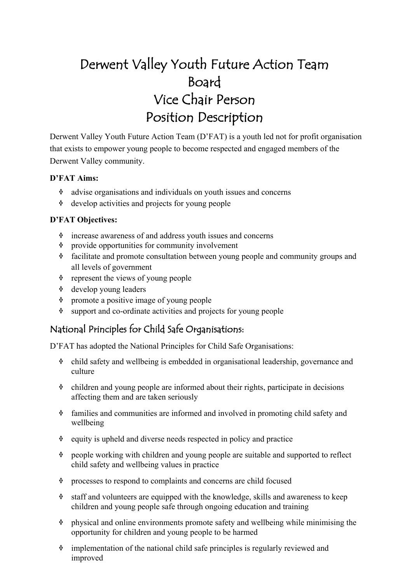# Derwent Valley Youth Future Action Team Board Vice Chair Person Position Description

Derwent Valley Youth Future Action Team (D'FAT) is a youth led not for profit organisation that exists to empower young people to become respected and engaged members of the Derwent Valley community.

#### **D'FAT Aims:**

- $\dot{\mathbf{v}}$  advise organisations and individuals on youth issues and concerns
- $\dot{\mathbf{v}}$  develop activities and projects for young people

#### **D'FAT Objectives:**

- $\dot{\mathbf{v}}$  increase awareness of and address youth issues and concerns
- $\dot{\mathbf{v}}$  provide opportunities for community involvement
- $\dot{\mathbf{v}}$  facilitate and promote consultation between young people and community groups and all levels of government
- $\dot{\mathbf{v}}$  represent the views of young people
- <sup>v</sup> develop young leaders
- $\dot{\mathbf{v}}$  promote a positive image of young people
- $\dot{\mathbf{v}}$  support and co-ordinate activities and projects for young people

## National Principles for Child Safe Organisations:

- $\dot{\mathbf{v}}$  child safety and wellbeing is embedded in organisational leadership, governance and culture
- $\bullet$  children and young people are informed about their rights, participate in decisions affecting them and are taken seriously
- $\lozenge$  families and communities are informed and involved in promoting child safety and wellbeing
- $\dot{\mathbf{v}}$  equity is upheld and diverse needs respected in policy and practice
- people working with children and young people are suitable and supported to reflect child safety and wellbeing values in practice
- $\Diamond$  processes to respond to complaints and concerns are child focused
- $\dot{\mathbf{v}}$  staff and volunteers are equipped with the knowledge, skills and awareness to keep children and young people safe through ongoing education and training
- $\dot{\mathbf{v}}$  physical and online environments promote safety and wellbeing while minimising the opportunity for children and young people to be harmed
- $\dot{\mathbf{v}}$  implementation of the national child safe principles is regularly reviewed and improved